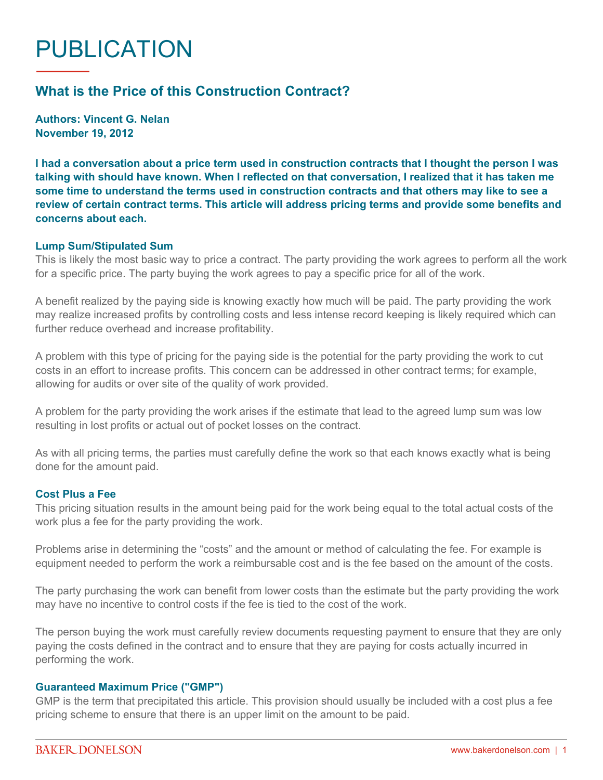# PUBLICATION

# **What is the Price of this Construction Contract?**

**Authors: Vincent G. Nelan November 19, 2012**

**I had a conversation about a price term used in construction contracts that I thought the person I was talking with should have known. When I reflected on that conversation, I realized that it has taken me some time to understand the terms used in construction contracts and that others may like to see a review of certain contract terms. This article will address pricing terms and provide some benefits and concerns about each.**

#### **Lump Sum/Stipulated Sum**

This is likely the most basic way to price a contract. The party providing the work agrees to perform all the work for a specific price. The party buying the work agrees to pay a specific price for all of the work.

A benefit realized by the paying side is knowing exactly how much will be paid. The party providing the work may realize increased profits by controlling costs and less intense record keeping is likely required which can further reduce overhead and increase profitability.

A problem with this type of pricing for the paying side is the potential for the party providing the work to cut costs in an effort to increase profits. This concern can be addressed in other contract terms; for example, allowing for audits or over site of the quality of work provided.

A problem for the party providing the work arises if the estimate that lead to the agreed lump sum was low resulting in lost profits or actual out of pocket losses on the contract.

As with all pricing terms, the parties must carefully define the work so that each knows exactly what is being done for the amount paid.

## **Cost Plus a Fee**

This pricing situation results in the amount being paid for the work being equal to the total actual costs of the work plus a fee for the party providing the work.

Problems arise in determining the "costs" and the amount or method of calculating the fee. For example is equipment needed to perform the work a reimbursable cost and is the fee based on the amount of the costs.

The party purchasing the work can benefit from lower costs than the estimate but the party providing the work may have no incentive to control costs if the fee is tied to the cost of the work.

The person buying the work must carefully review documents requesting payment to ensure that they are only paying the costs defined in the contract and to ensure that they are paying for costs actually incurred in performing the work.

## **Guaranteed Maximum Price ("GMP")**

GMP is the term that precipitated this article. This provision should usually be included with a cost plus a fee pricing scheme to ensure that there is an upper limit on the amount to be paid.